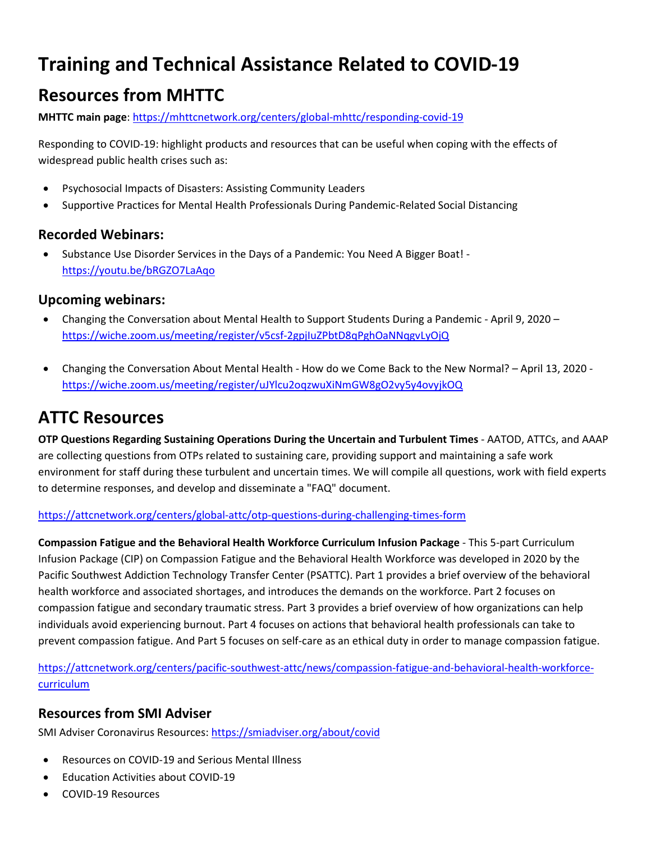# **Training and Technical Assistance Related to COVID-19**

# **Resources from MHTTC**

**MHTTC main page**[: https://mhttcnetwork.org/centers/global-mhttc/responding-covid-19](https://mhttcnetwork.org/centers/global-mhttc/responding-covid-19)

Responding to COVID-19: highlight products and resources that can be useful when coping with the effects of widespread public health crises such as:

- Psychosocial Impacts of Disasters: Assisting Community Leaders
- Supportive Practices for Mental Health Professionals During Pandemic-Related Social Distancing

### **Recorded Webinars:**

• Substance Use Disorder Services in the Days of a Pandemic: You Need A Bigger Boat! <https://youtu.be/bRGZO7LaAqo>

### **Upcoming webinars:**

- Changing the Conversation about Mental Health to Support Students During a Pandemic April 9, 2020 <https://wiche.zoom.us/meeting/register/v5csf-2gpjIuZPbtD8qPghOaNNqgvLyOjQ>
- Changing the Conversation About Mental Health How do we Come Back to the New Normal? April 13, 2020 <https://wiche.zoom.us/meeting/register/uJYlcu2oqzwuXiNmGW8gO2vy5y4ovyjkOQ>

# **ATTC Resources**

**OTP Questions Regarding Sustaining Operations During the Uncertain and Turbulent Times** - AATOD, ATTCs, and AAAP are collecting questions from OTPs related to sustaining care, providing support and maintaining a safe work environment for staff during these turbulent and uncertain times. We will compile all questions, work with field experts to determine responses, and develop and disseminate a "FAQ" document.

#### <https://attcnetwork.org/centers/global-attc/otp-questions-during-challenging-times-form>

**Compassion Fatigue and the Behavioral Health Workforce Curriculum Infusion Package** - This 5-part Curriculum Infusion Package (CIP) on Compassion Fatigue and the Behavioral Health Workforce was developed in 2020 by the Pacific Southwest Addiction Technology Transfer Center (PSATTC). Part 1 provides a brief overview of the behavioral health workforce and associated shortages, and introduces the demands on the workforce. Part 2 focuses on compassion fatigue and secondary traumatic stress. Part 3 provides a brief overview of how organizations can help individuals avoid experiencing burnout. Part 4 focuses on actions that behavioral health professionals can take to prevent compassion fatigue. And Part 5 focuses on self-care as an ethical duty in order to manage compassion fatigue.

[https://attcnetwork.org/centers/pacific-southwest-attc/news/compassion-fatigue-and-behavioral-health-workforce](https://attcnetwork.org/centers/pacific-southwest-attc/news/compassion-fatigue-and-behavioral-health-workforce-curriculum)[curriculum](https://attcnetwork.org/centers/pacific-southwest-attc/news/compassion-fatigue-and-behavioral-health-workforce-curriculum)

## **Resources from SMI Adviser**

SMI Adviser Coronavirus Resources[: https://smiadviser.org/about/covid](https://smiadviser.org/about/covid)

- Resources on COVID-19 and Serious Mental Illness
- Education Activities about COVID-19
- COVID-19 Resources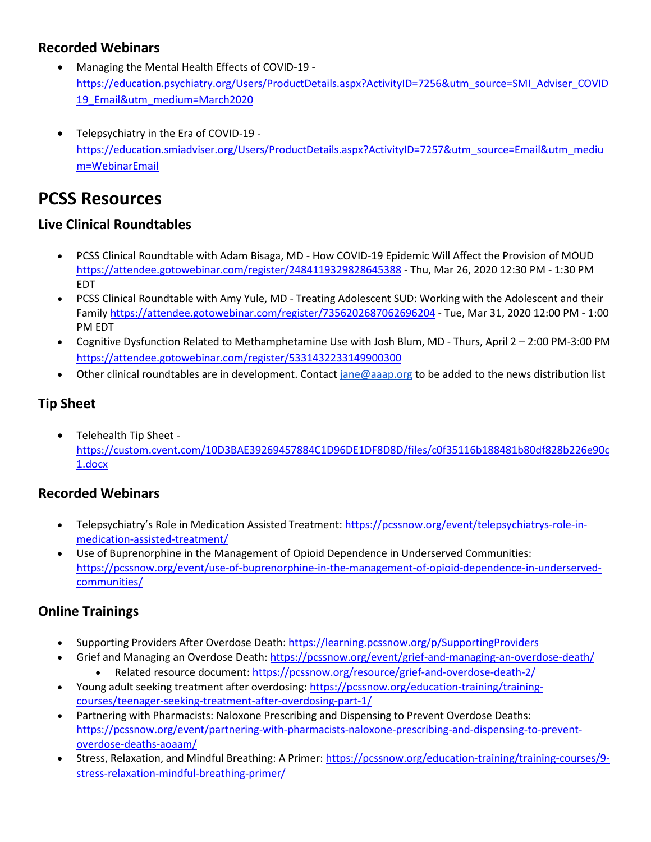### **Recorded Webinars**

- Managing the Mental Health Effects of COVID-19 [https://education.psychiatry.org/Users/ProductDetails.aspx?ActivityID=7256&utm\\_source=SMI\\_Adviser\\_COVID](https://education.psychiatry.org/Users/ProductDetails.aspx?ActivityID=7256&utm_source=SMI_Adviser_COVID19_Email&utm_medium=March2020) [19\\_Email&utm\\_medium=March2020](https://education.psychiatry.org/Users/ProductDetails.aspx?ActivityID=7256&utm_source=SMI_Adviser_COVID19_Email&utm_medium=March2020)
- Telepsychiatry in the Era of COVID-19 [https://education.smiadviser.org/Users/ProductDetails.aspx?ActivityID=7257&utm\\_source=Email&utm\\_mediu](https://education.smiadviser.org/Users/ProductDetails.aspx?ActivityID=7257&utm_source=Email&utm_medium=WebinarEmail) [m=WebinarEmail](https://education.smiadviser.org/Users/ProductDetails.aspx?ActivityID=7257&utm_source=Email&utm_medium=WebinarEmail)

# **PCSS Resources**

#### **Live Clinical Roundtables**

- PCSS Clinical Roundtable with Adam Bisaga, MD How COVID-19 Epidemic Will Affect the Provision of MOUD <https://attendee.gotowebinar.com/register/2484119329828645388> - Thu, Mar 26, 2020 12:30 PM - 1:30 PM EDT
- PCSS Clinical Roundtable with Amy Yule, MD Treating Adolescent SUD: Working with the Adolescent and their Famil[y https://attendee.gotowebinar.com/register/7356202687062696204](https://attendee.gotowebinar.com/register/7356202687062696204) - Tue, Mar 31, 2020 12:00 PM - 1:00 PM EDT
- Cognitive Dysfunction Related to Methamphetamine Use with Josh Blum, MD Thurs, April 2 2:00 PM-3:00 PM <https://attendee.gotowebinar.com/register/5331432233149900300>
- Other clinical roundtables are in development. Contact [jane@aaap.org](mailto:jane@aaap.org) to be added to the news distribution list

## **Tip Sheet**

• Telehealth Tip Sheet [https://custom.cvent.com/10D3BAE39269457884C1D96DE1DF8D8D/files/c0f35116b188481b80df828b226e90c](https://custom.cvent.com/10D3BAE39269457884C1D96DE1DF8D8D/files/c0f35116b188481b80df828b226e90c1.docx) [1.docx](https://custom.cvent.com/10D3BAE39269457884C1D96DE1DF8D8D/files/c0f35116b188481b80df828b226e90c1.docx)

## **Recorded Webinars**

- Telepsychiatry's Role in Medication Assisted Treatment: [https://pcssnow.org/event/telepsychiatrys-role-in](https://pcssnow.org/event/telepsychiatrys-role-in-medication-assisted-treatment/)[medication-assisted-treatment/](https://pcssnow.org/event/telepsychiatrys-role-in-medication-assisted-treatment/)
- Use of Buprenorphine in the Management of Opioid Dependence in Underserved Communities[:](https://pcssnow.org/event/use-of-buprenorphine-in-the-management-of-opioid-dependence-in-underserved-communities/) [https://pcssnow.org/event/use-of-buprenorphine-in-the-management-of-opioid-dependence-in-underserved](https://pcssnow.org/event/use-of-buprenorphine-in-the-management-of-opioid-dependence-in-underserved-communities/)[communities/](https://pcssnow.org/event/use-of-buprenorphine-in-the-management-of-opioid-dependence-in-underserved-communities/)

## **Online Trainings**

- Supporting Providers After Overdose Death:<https://learning.pcssnow.org/p/SupportingProviders>
- Grief and Managing an Overdose Death:<https://pcssnow.org/event/grief-and-managing-an-overdose-death/>
	- Related resource document[: https://pcssnow.org/resource/grief-and-overdose-death-2/](https://pcssnow.org/resource/grief-and-overdose-death-2/)
- Young adult seeking treatment after overdosing: [https://pcssnow.org/education-training/training](https://pcssnow.org/education-training/training-courses/teenager-seeking-treatment-after-overdosing-part-1/)[courses/teenager-seeking-treatment-after-overdosing-part-1/](https://pcssnow.org/education-training/training-courses/teenager-seeking-treatment-after-overdosing-part-1/)
- Partnering with Pharmacists: Naloxone Prescribing and Dispensing to Prevent Overdose Deaths: [https://pcssnow.org/event/partnering-with-pharmacists-naloxone-prescribing-and-dispensing-to-prevent](https://pcssnow.org/event/partnering-with-pharmacists-naloxone-prescribing-and-dispensing-to-prevent-overdose-deaths-aoaam/)[overdose-deaths-aoaam/](https://pcssnow.org/event/partnering-with-pharmacists-naloxone-prescribing-and-dispensing-to-prevent-overdose-deaths-aoaam/)
- Stress, Relaxation, and Mindful Breathing: A Primer[: https://pcssnow.org/education-training/training-courses/9](https://pcssnow.org/education-training/training-courses/9-stress-relaxation-mindful-breathing-primer/) [stress-relaxation-mindful-breathing-primer/](https://pcssnow.org/education-training/training-courses/9-stress-relaxation-mindful-breathing-primer/)